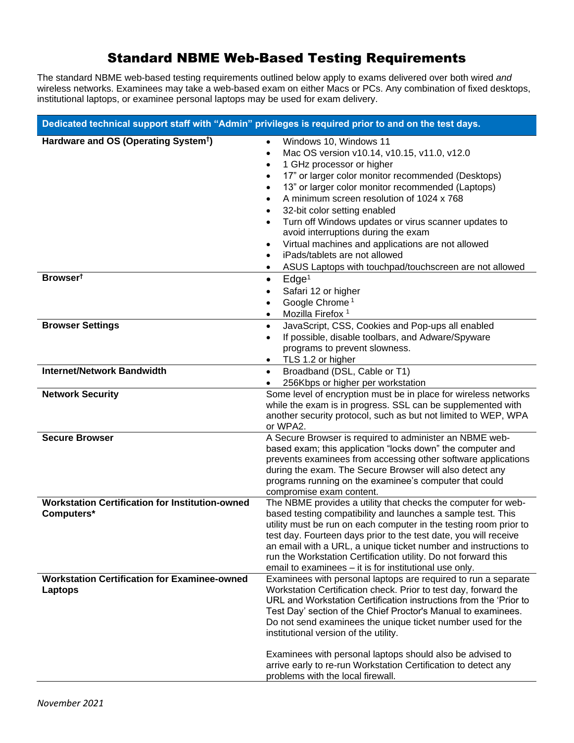## Standard NBME Web-Based Testing Requirements

The standard NBME web-based testing requirements outlined below apply to exams delivered over both wired *and*  wireless networks. Examinees may take a web-based exam on either Macs or PCs. Any combination of fixed desktops, institutional laptops, or examinee personal laptops may be used for exam delivery.

| Dedicated technical support staff with "Admin" privileges is required prior to and on the test days. |                                                                                                                                                                                                                                                                                                                                                                                                                                                                                                                                                                                       |
|------------------------------------------------------------------------------------------------------|---------------------------------------------------------------------------------------------------------------------------------------------------------------------------------------------------------------------------------------------------------------------------------------------------------------------------------------------------------------------------------------------------------------------------------------------------------------------------------------------------------------------------------------------------------------------------------------|
| Hardware and OS (Operating System <sup>t</sup> )                                                     | Windows 10, Windows 11<br>$\bullet$<br>Mac OS version v10.14, v10.15, v11.0, v12.0<br>1 GHz processor or higher<br>$\bullet$<br>17" or larger color monitor recommended (Desktops)<br>13" or larger color monitor recommended (Laptops)<br>A minimum screen resolution of 1024 x 768<br>32-bit color setting enabled<br>Turn off Windows updates or virus scanner updates to<br>$\bullet$<br>avoid interruptions during the exam<br>Virtual machines and applications are not allowed<br>٠<br>iPads/tablets are not allowed<br>ASUS Laptops with touchpad/touchscreen are not allowed |
| Browser <sup>t</sup>                                                                                 | Edge <sup>1</sup><br>$\bullet$                                                                                                                                                                                                                                                                                                                                                                                                                                                                                                                                                        |
|                                                                                                      | Safari 12 or higher<br>Google Chrome <sup>1</sup><br>Mozilla Firefox <sup>1</sup><br>٠                                                                                                                                                                                                                                                                                                                                                                                                                                                                                                |
| <b>Browser Settings</b>                                                                              | JavaScript, CSS, Cookies and Pop-ups all enabled<br>$\bullet$                                                                                                                                                                                                                                                                                                                                                                                                                                                                                                                         |
|                                                                                                      | If possible, disable toolbars, and Adware/Spyware<br>$\bullet$<br>programs to prevent slowness.                                                                                                                                                                                                                                                                                                                                                                                                                                                                                       |
|                                                                                                      | TLS 1.2 or higher<br>$\bullet$                                                                                                                                                                                                                                                                                                                                                                                                                                                                                                                                                        |
| <b>Internet/Network Bandwidth</b>                                                                    | Broadband (DSL, Cable or T1)<br>$\bullet$                                                                                                                                                                                                                                                                                                                                                                                                                                                                                                                                             |
|                                                                                                      | 256Kbps or higher per workstation                                                                                                                                                                                                                                                                                                                                                                                                                                                                                                                                                     |
| <b>Network Security</b>                                                                              | Some level of encryption must be in place for wireless networks<br>while the exam is in progress. SSL can be supplemented with<br>another security protocol, such as but not limited to WEP, WPA<br>or WPA2.                                                                                                                                                                                                                                                                                                                                                                          |
| <b>Secure Browser</b>                                                                                | A Secure Browser is required to administer an NBME web-<br>based exam; this application "locks down" the computer and<br>prevents examinees from accessing other software applications<br>during the exam. The Secure Browser will also detect any<br>programs running on the examinee's computer that could<br>compromise exam content.                                                                                                                                                                                                                                              |
| <b>Workstation Certification for Institution-owned</b><br>Computers*                                 | The NBME provides a utility that checks the computer for web-<br>based testing compatibility and launches a sample test. This<br>utility must be run on each computer in the testing room prior to<br>test day. Fourteen days prior to the test date, you will receive<br>an email with a URL, a unique ticket number and instructions to<br>run the Workstation Certification utility. Do not forward this<br>email to examinees – it is for institutional use only.                                                                                                                 |
| <b>Workstation Certification for Examinee-owned</b><br>Laptops                                       | Examinees with personal laptops are required to run a separate<br>Workstation Certification check. Prior to test day, forward the<br>URL and Workstation Certification instructions from the 'Prior to<br>Test Day' section of the Chief Proctor's Manual to examinees.<br>Do not send examinees the unique ticket number used for the<br>institutional version of the utility.<br>Examinees with personal laptops should also be advised to<br>arrive early to re-run Workstation Certification to detect any<br>problems with the local firewall.                                   |